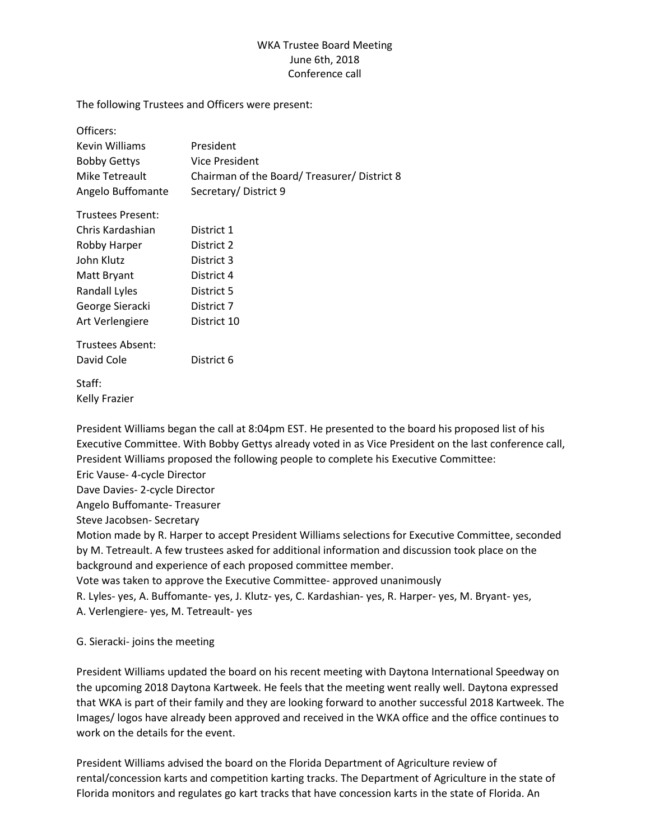## WKA Trustee Board Meeting June 6th, 2018 Conference call

The following Trustees and Officers were present:

| Officers:            |                                            |
|----------------------|--------------------------------------------|
| Kevin Williams       | President                                  |
| <b>Bobby Gettys</b>  | Vice President                             |
| Mike Tetreault       | Chairman of the Board/Treasurer/District 8 |
| Angelo Buffomante    | Secretary/District 9                       |
| Trustees Present:    |                                            |
| Chris Kardashian     | District 1                                 |
| Robby Harper         | District 2                                 |
| John Klutz           | District 3                                 |
| Matt Bryant          | District 4                                 |
| <b>Randall Lyles</b> | District 5                                 |
| George Sieracki      | District 7                                 |
| Art Verlengiere      | District 10                                |
| Trustees Absent:     |                                            |
| David Cole           | District 6                                 |
| Staff:               |                                            |
| Kelly Frazier        |                                            |

President Williams began the call at 8:04pm EST. He presented to the board his proposed list of his Executive Committee. With Bobby Gettys already voted in as Vice President on the last conference call, President Williams proposed the following people to complete his Executive Committee:

Eric Vause- 4-cycle Director

Dave Davies- 2-cycle Director

Angelo Buffomante- Treasurer

Steve Jacobsen- Secretary

Motion made by R. Harper to accept President Williams selections for Executive Committee, seconded by M. Tetreault. A few trustees asked for additional information and discussion took place on the background and experience of each proposed committee member.

Vote was taken to approve the Executive Committee- approved unanimously

R. Lyles- yes, A. Buffomante- yes, J. Klutz- yes, C. Kardashian- yes, R. Harper- yes, M. Bryant- yes,

A. Verlengiere- yes, M. Tetreault- yes

G. Sieracki- joins the meeting

President Williams updated the board on his recent meeting with Daytona International Speedway on the upcoming 2018 Daytona Kartweek. He feels that the meeting went really well. Daytona expressed that WKA is part of their family and they are looking forward to another successful 2018 Kartweek. The Images/ logos have already been approved and received in the WKA office and the office continues to work on the details for the event.

President Williams advised the board on the Florida Department of Agriculture review of rental/concession karts and competition karting tracks. The Department of Agriculture in the state of Florida monitors and regulates go kart tracks that have concession karts in the state of Florida. An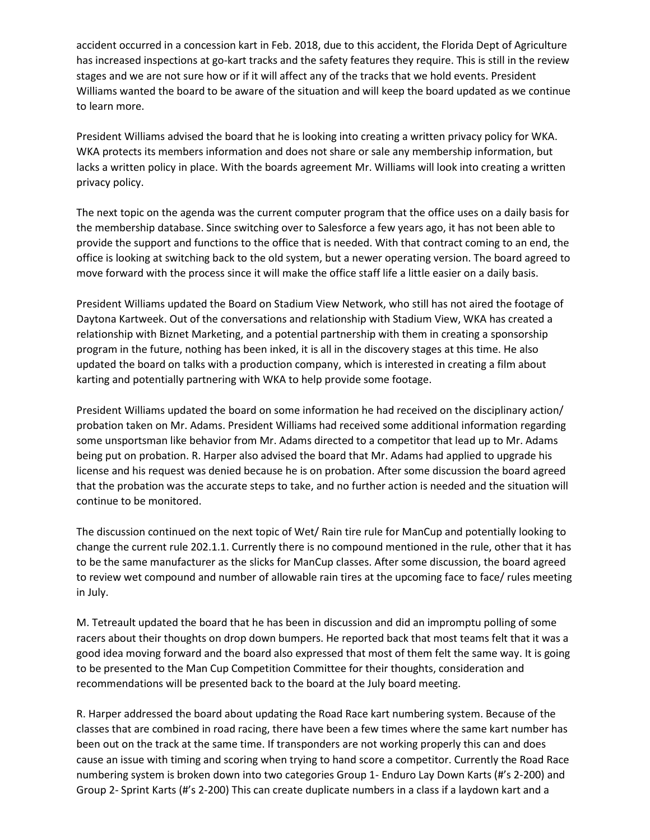accident occurred in a concession kart in Feb. 2018, due to this accident, the Florida Dept of Agriculture has increased inspections at go-kart tracks and the safety features they require. This is still in the review stages and we are not sure how or if it will affect any of the tracks that we hold events. President Williams wanted the board to be aware of the situation and will keep the board updated as we continue to learn more.

President Williams advised the board that he is looking into creating a written privacy policy for WKA. WKA protects its members information and does not share or sale any membership information, but lacks a written policy in place. With the boards agreement Mr. Williams will look into creating a written privacy policy.

The next topic on the agenda was the current computer program that the office uses on a daily basis for the membership database. Since switching over to Salesforce a few years ago, it has not been able to provide the support and functions to the office that is needed. With that contract coming to an end, the office is looking at switching back to the old system, but a newer operating version. The board agreed to move forward with the process since it will make the office staff life a little easier on a daily basis.

President Williams updated the Board on Stadium View Network, who still has not aired the footage of Daytona Kartweek. Out of the conversations and relationship with Stadium View, WKA has created a relationship with Biznet Marketing, and a potential partnership with them in creating a sponsorship program in the future, nothing has been inked, it is all in the discovery stages at this time. He also updated the board on talks with a production company, which is interested in creating a film about karting and potentially partnering with WKA to help provide some footage.

President Williams updated the board on some information he had received on the disciplinary action/ probation taken on Mr. Adams. President Williams had received some additional information regarding some unsportsman like behavior from Mr. Adams directed to a competitor that lead up to Mr. Adams being put on probation. R. Harper also advised the board that Mr. Adams had applied to upgrade his license and his request was denied because he is on probation. After some discussion the board agreed that the probation was the accurate steps to take, and no further action is needed and the situation will continue to be monitored.

The discussion continued on the next topic of Wet/ Rain tire rule for ManCup and potentially looking to change the current rule 202.1.1. Currently there is no compound mentioned in the rule, other that it has to be the same manufacturer as the slicks for ManCup classes. After some discussion, the board agreed to review wet compound and number of allowable rain tires at the upcoming face to face/ rules meeting in July.

M. Tetreault updated the board that he has been in discussion and did an impromptu polling of some racers about their thoughts on drop down bumpers. He reported back that most teams felt that it was a good idea moving forward and the board also expressed that most of them felt the same way. It is going to be presented to the Man Cup Competition Committee for their thoughts, consideration and recommendations will be presented back to the board at the July board meeting.

R. Harper addressed the board about updating the Road Race kart numbering system. Because of the classes that are combined in road racing, there have been a few times where the same kart number has been out on the track at the same time. If transponders are not working properly this can and does cause an issue with timing and scoring when trying to hand score a competitor. Currently the Road Race numbering system is broken down into two categories Group 1- Enduro Lay Down Karts (#'s 2-200) and Group 2- Sprint Karts (#'s 2-200) This can create duplicate numbers in a class if a laydown kart and a